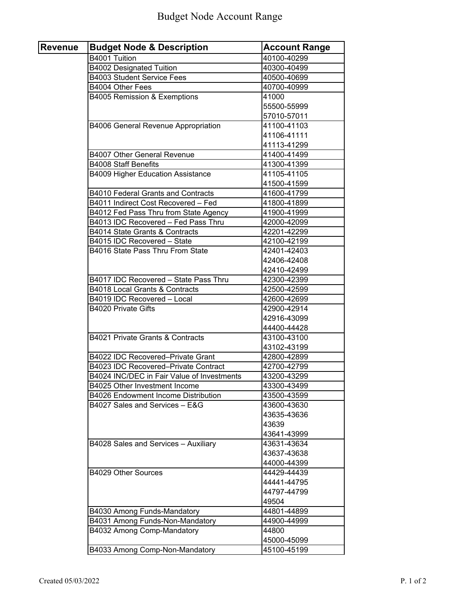| <b>Revenue</b> | <b>Budget Node &amp; Description</b>       | <b>Account Range</b>       |
|----------------|--------------------------------------------|----------------------------|
|                | B4001 Tuition                              | 40100-40299                |
|                | <b>B4002 Designated Tuition</b>            | 40300-40499                |
|                | <b>B4003 Student Service Fees</b>          | 40500-40699                |
|                | B4004 Other Fees                           | 40700-40999                |
|                | B4005 Remission & Exemptions               | 41000                      |
|                |                                            | 55500-55999                |
|                |                                            | 57010-57011                |
|                | B4006 General Revenue Appropriation        | 41100-41103                |
|                |                                            | 41106-41111                |
|                |                                            | 41113-41299                |
|                | <b>B4007 Other General Revenue</b>         | 41400-41499                |
|                | <b>B4008 Staff Benefits</b>                | 41300-41399                |
|                | <b>B4009 Higher Education Assistance</b>   | 41105-41105                |
|                |                                            | 41500-41599                |
|                | <b>B4010 Federal Grants and Contracts</b>  | 41600-41799                |
|                | B4011 Indirect Cost Recovered - Fed        | 41800-41899                |
|                | B4012 Fed Pass Thru from State Agency      | 41900-41999                |
|                | B4013 IDC Recovered - Fed Pass Thru        | 42000-42099                |
|                | B4014 State Grants & Contracts             | 42201-42299                |
|                | B4015 IDC Recovered - State                | 42100-42199                |
|                | B4016 State Pass Thru From State           | 42401-42403                |
|                |                                            | 42406-42408                |
|                |                                            | 42410-42499                |
|                | B4017 IDC Recovered - State Pass Thru      | 42300-42399                |
|                | B4018 Local Grants & Contracts             | 42500-42599                |
|                | B4019 IDC Recovered - Local                | 42600-42699                |
|                | <b>B4020 Private Gifts</b>                 | 42900-42914                |
|                |                                            | 42916-43099                |
|                |                                            | 44400-44428                |
|                | B4021 Private Grants & Contracts           | 43100-43100                |
|                |                                            | 43102-43199                |
|                | B4022 IDC Recovered-Private Grant          | 42800-42899                |
|                | B4023 IDC Recovered-Private Contract       | 42700-42799                |
|                | B4024 INC/DEC in Fair Value of Investments |                            |
|                | B4025 Other Investment Income              | 43200-43299<br>43300-43499 |
|                | B4026 Endowment Income Distribution        |                            |
|                |                                            | 43500-43599                |
|                | B4027 Sales and Services - E&G             | 43600-43630                |
|                |                                            | 43635-43636                |
|                |                                            | 43639                      |
|                |                                            | 43641-43999                |
|                | B4028 Sales and Services - Auxiliary       | 43631-43634                |
|                |                                            | 43637-43638                |
|                |                                            | 44000-44399                |
|                | B4029 Other Sources                        | 44429-44439                |
|                |                                            | 44441-44795                |
|                |                                            | 44797-44799                |
|                |                                            | 49504                      |
|                | B4030 Among Funds-Mandatory                | 44801-44899                |
|                | B4031 Among Funds-Non-Mandatory            | 44900-44999                |
|                | B4032 Among Comp-Mandatory                 | 44800                      |
|                |                                            | 45000-45099                |
|                | B4033 Among Comp-Non-Mandatory             | 45100-45199                |